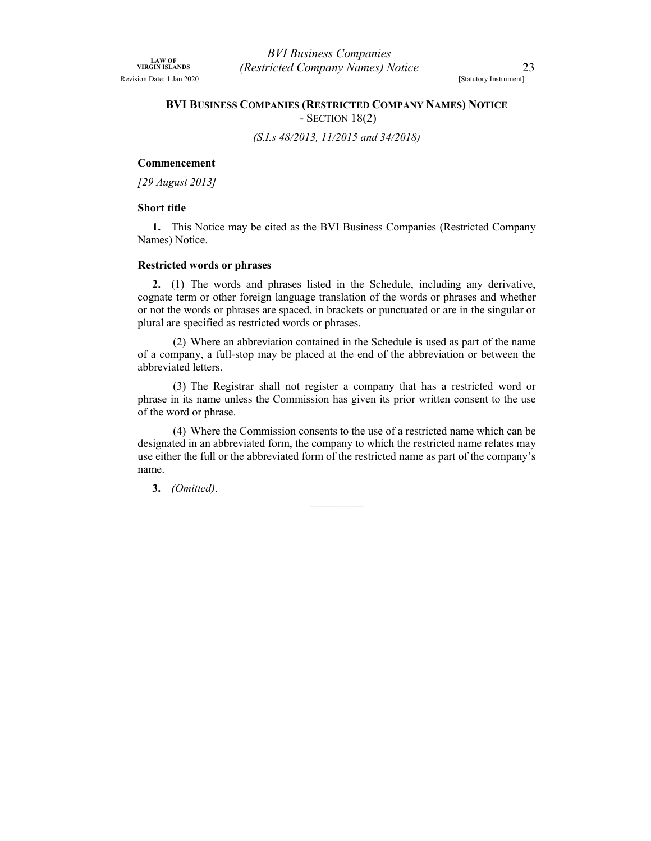Revision Date: 1 Jan 2020 [Statutory Instrument]

# BVI Business Companies<br>
VIRGIN ISLANDS (Restricted Company Names) Notice<br>
BVI BUSINESS COMPANIES (RESTRICTED COMPANY NAMES) NOTICE<br>
- SECTION 18(2) BVI BUSINESS COMPANIES (RESTRICTED COMPANY NAMES) NOTICE - SECTION 18(2)

(S.I.s 48/2013, 11/2015 and 34/2018)

## Commencement

[29 August 2013]

### Short title

1. This Notice may be cited as the BVI Business Companies (Restricted Company Names) Notice.

# Restricted words or phrases

2. (1) The words and phrases listed in the Schedule, including any derivative, cognate term or other foreign language translation of the words or phrases and whether or not the words or phrases are spaced, in brackets or punctuated or are in the singular or plural are specified as restricted words or phrases.

 (2) Where an abbreviation contained in the Schedule is used as part of the name of a company, a full-stop may be placed at the end of the abbreviation or between the abbreviated letters.

 (3) The Registrar shall not register a company that has a restricted word or phrase in its name unless the Commission has given its prior written consent to the use of the word or phrase.

 (4) Where the Commission consents to the use of a restricted name which can be designated in an abbreviated form, the company to which the restricted name relates may use either the full or the abbreviated form of the restricted name as part of the company's name.

3. (Omitted).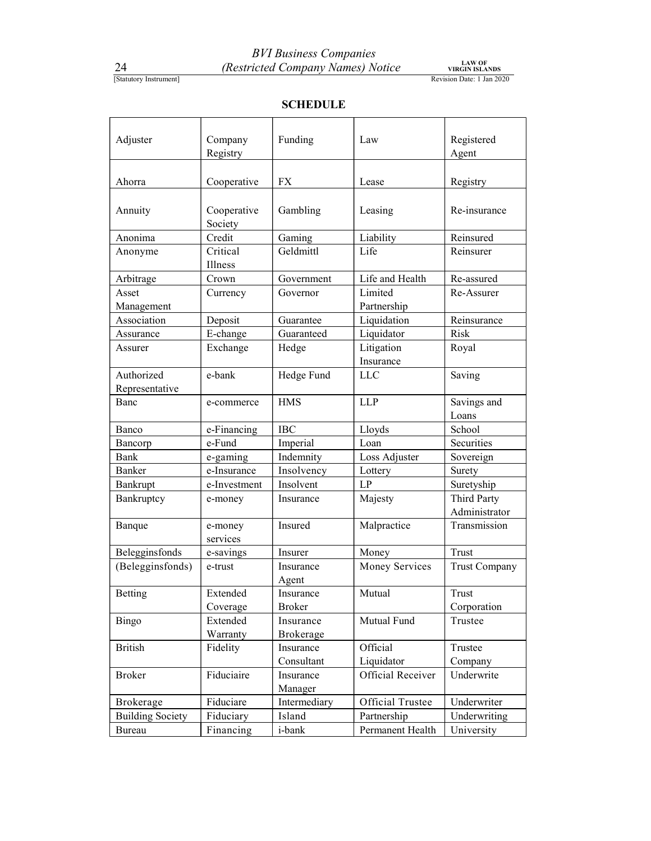# **SCHEDULE**

|                                    |                      | <b>BVI Business Companies</b>     |                                 |                               |
|------------------------------------|----------------------|-----------------------------------|---------------------------------|-------------------------------|
| 24                                 |                      | (Restricted Company Names) Notice |                                 | LAW OF<br>VIRGIN ISLANDS      |
| [Statutory Instrument]             |                      |                                   |                                 | Revision Date: 1 Jan 2020     |
|                                    |                      | <b>SCHEDULE</b>                   |                                 |                               |
|                                    |                      |                                   |                                 |                               |
| Adjuster                           | Company              | Funding                           | Law                             | Registered                    |
|                                    | Registry             |                                   |                                 | Agent                         |
|                                    |                      |                                   |                                 |                               |
| Ahorra                             | Cooperative          | ${\rm FX}$                        | Lease                           | Registry                      |
| Annuity                            | Cooperative          | Gambling                          | Leasing                         | Re-insurance                  |
|                                    | Society              |                                   |                                 |                               |
| Anonima                            | Credit               | Gaming                            | Liability                       | Reinsured                     |
| Anonyme                            | Critical             | Geldmittl                         | Life                            | Reinsurer                     |
| Arbitrage                          | Illness<br>Crown     | Government                        | Life and Health                 | Re-assured                    |
| Asset                              | Currency             | Governor                          | Limited                         | Re-Assurer                    |
| Management                         |                      |                                   | Partnership                     |                               |
| Association                        | Deposit              | Guarantee                         | Liquidation                     | Reinsurance                   |
| Assurance                          | E-change             | Guaranteed                        | Liquidator                      | Risk                          |
| Assurer                            | Exchange             | Hedge                             | Litigation                      | Royal                         |
| Authorized                         | e-bank               | Hedge Fund                        | Insurance<br>${\rm LLC}$        | Saving                        |
| Representative                     |                      |                                   |                                 |                               |
| Banc                               | e-commerce           | <b>HMS</b>                        | <b>LLP</b>                      | Savings and                   |
| Banco                              | e-Financing          | <b>IBC</b>                        | Lloyds                          | Loans<br>School               |
| Bancorp                            | e-Fund               | Imperial                          | Loan                            | Securities                    |
| Bank                               | e-gaming             | Indemnity                         | Loss Adjuster                   | Sovereign                     |
| Banker                             | e-Insurance          | Insolvency                        | Lottery                         | Surety                        |
| Bankrupt                           | e-Investment         | Insolvent                         | $\mathrm{L}\mathrm{P}$          | Suretyship                    |
| Bankruptcy                         | e-money              | Insurance                         | Majesty                         | Third Party<br>Administrator  |
| Banque                             | e-money              | Insured                           | Malpractice                     | Transmission                  |
|                                    | services             |                                   |                                 |                               |
| Belegginsfonds<br>(Belegginsfonds) | e-savings<br>e-trust | Insurer<br>Insurance              | Money<br>Money Services         | Trust<br><b>Trust Company</b> |
|                                    |                      | Agent                             |                                 |                               |
| Betting                            | Extended             | Insurance                         | Mutual                          | Trust                         |
|                                    | Coverage<br>Extended | <b>Broker</b><br>Insurance        | Mutual Fund                     | Corporation<br>Trustee        |
| Bingo                              | Warranty             | <b>Brokerage</b>                  |                                 |                               |
| <b>British</b>                     | Fidelity             | Insurance                         | Official                        | Trustee                       |
| Broker                             | Fiduciaire           | Consultant<br>Insurance           | Liquidator<br>Official Receiver | Company<br>Underwrite         |
|                                    |                      | Manager                           |                                 |                               |
| Brokerage                          | Fiduciare            | Intermediary                      | Official Trustee                | Underwriter                   |
| <b>Building Society</b>            | Fiduciary            | Island                            | Partnership                     | Underwriting                  |
| Bureau                             | Financing            | i-bank                            | Permanent Health                | University                    |